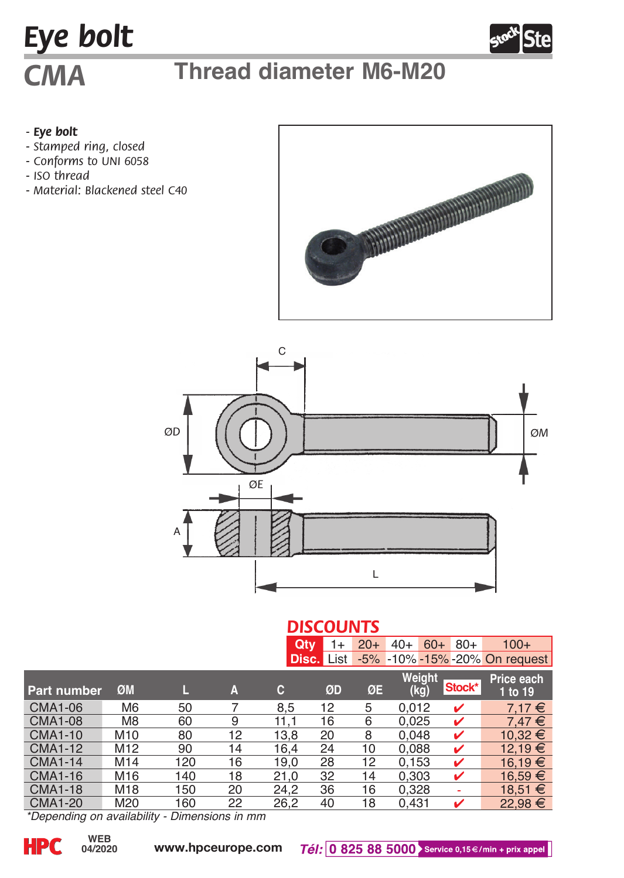# *Eye bolt*

## *CMA* **Thread diameter M6-M20**

### *- Eye bolt*

- *Stamped ring, closed*
- *Conforms to UNI 6058*
- *ISO thread*
- *Material: Blackened steel C40*





### *DISCOUNTS* **Qty** 1+ 20+ 40+ 60+ 80+ 100+ **Disc.** List -5% -10% -15% -20% On request

| Part number    | ØM              |     | A  | c    | ØD | ØE | Weight<br>(kg) | Stock* | Price each<br>1 to 19 |
|----------------|-----------------|-----|----|------|----|----|----------------|--------|-----------------------|
| <b>CMA1-06</b> | M <sub>6</sub>  | 50  |    | 8.5  | 12 | 5  | 0.012          | ✓      | 7.17€                 |
| <b>CMA1-08</b> | M8              | 60  | 9  | 11.1 | 16 | 6  | 0.025          | ✓      | $7.47 \in$            |
| <b>CMA1-10</b> | M <sub>10</sub> | 80  | 12 | 13.8 | 20 | 8  | 0.048          | ✓      | $10.32 \in$           |
| <b>CMA1-12</b> | M <sub>12</sub> | 90  | 14 | 16.4 | 24 | 10 | 0.088          | ✓      | 12.19 €               |
| <b>CMA1-14</b> | M14             | 120 | 16 | 19.0 | 28 | 12 | 0.153          | ✓      | 16.19 $€$             |
| <b>CMA1-16</b> | M16             | 140 | 18 | 21.0 | 32 | 14 | 0.303          | ✓      | 16.59 €               |
| <b>CMA1-18</b> | M18             | 150 | 20 | 24.2 | 36 | 16 | 0.328          |        | $18.51 \in$           |
| <b>CMA1-20</b> | M20             | 160 | 22 | 26.2 | 40 | 18 | 0.431          | ✓      | 22.98 €               |

*\*Depending on availability - Dimensions in mm*

**04/2020**